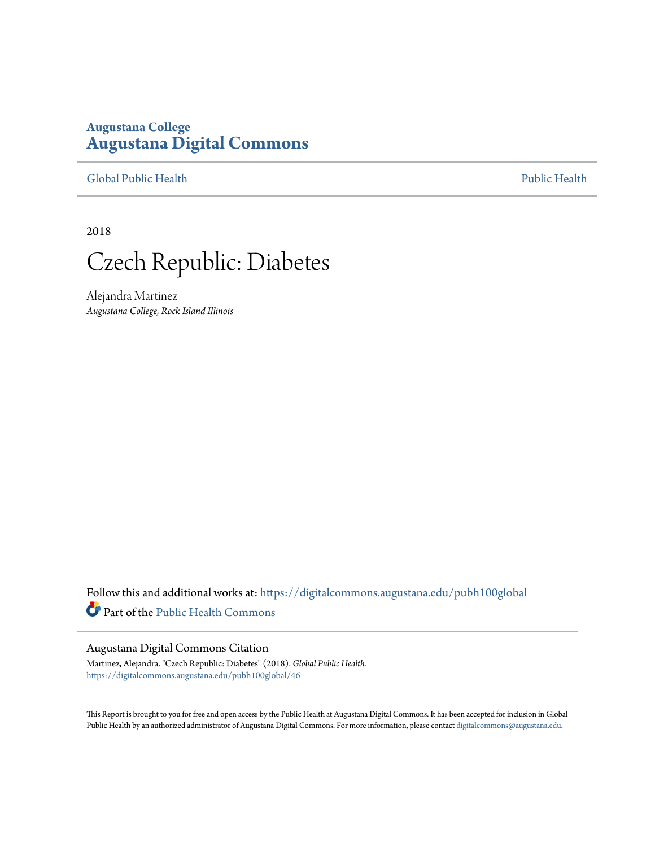# **Augustana College [Augustana Digital Commons](https://digitalcommons.augustana.edu?utm_source=digitalcommons.augustana.edu%2Fpubh100global%2F46&utm_medium=PDF&utm_campaign=PDFCoverPages)**

[Global Public Health](https://digitalcommons.augustana.edu/pubh100global?utm_source=digitalcommons.augustana.edu%2Fpubh100global%2F46&utm_medium=PDF&utm_campaign=PDFCoverPages) [Public Health](https://digitalcommons.augustana.edu/publichealth?utm_source=digitalcommons.augustana.edu%2Fpubh100global%2F46&utm_medium=PDF&utm_campaign=PDFCoverPages)

2018



Alejandra Martinez *Augustana College, Rock Island Illinois*

Follow this and additional works at: [https://digitalcommons.augustana.edu/pubh100global](https://digitalcommons.augustana.edu/pubh100global?utm_source=digitalcommons.augustana.edu%2Fpubh100global%2F46&utm_medium=PDF&utm_campaign=PDFCoverPages) Part of the [Public Health Commons](http://network.bepress.com/hgg/discipline/738?utm_source=digitalcommons.augustana.edu%2Fpubh100global%2F46&utm_medium=PDF&utm_campaign=PDFCoverPages)

#### Augustana Digital Commons Citation

Martinez, Alejandra. "Czech Republic: Diabetes" (2018). *Global Public Health.* [https://digitalcommons.augustana.edu/pubh100global/46](https://digitalcommons.augustana.edu/pubh100global/46?utm_source=digitalcommons.augustana.edu%2Fpubh100global%2F46&utm_medium=PDF&utm_campaign=PDFCoverPages)

This Report is brought to you for free and open access by the Public Health at Augustana Digital Commons. It has been accepted for inclusion in Global Public Health by an authorized administrator of Augustana Digital Commons. For more information, please contact [digitalcommons@augustana.edu.](mailto:digitalcommons@augustana.edu)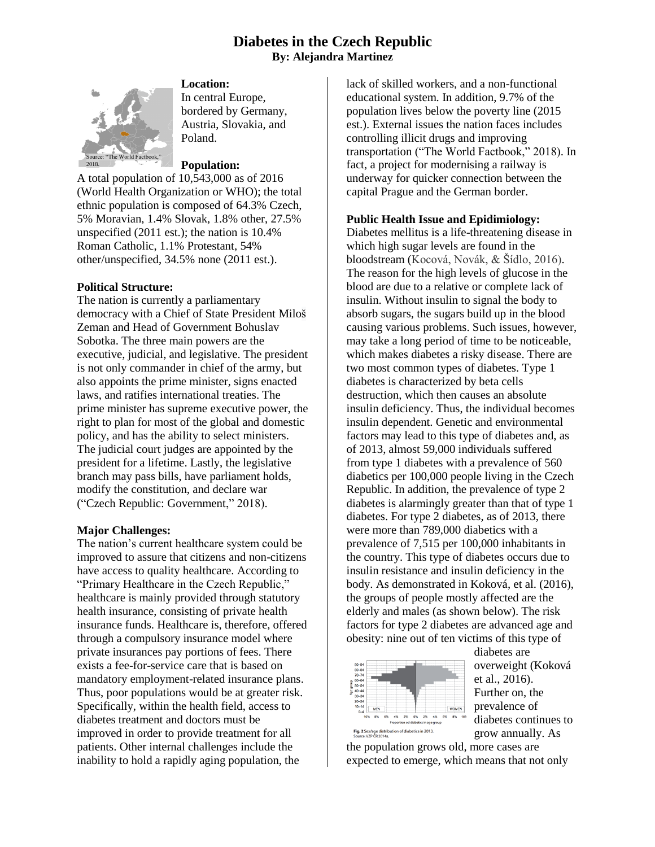# **Diabetes in the Czech Republic By: Alejandra Martinez**



**Location:** In central Europe, bordered by Germany, Austria, Slovakia, and Poland.

## **Population:**

A total population of 10,543,000 as of 2016 (World Health Organization or WHO); the total ethnic population is composed of 64.3% Czech, 5% Moravian, 1.4% Slovak, 1.8% other, 27.5% unspecified (2011 est.); the nation is 10.4% Roman Catholic, 1.1% Protestant, 54% other/unspecified, 34.5% none (2011 est.).

#### **Political Structure:**

The nation is currently a parliamentary democracy with a Chief of State President Miloš Zeman and Head of Government Bohuslav Sobotka. The three main powers are the executive, judicial, and legislative. The president is not only commander in chief of the army, but also appoints the prime minister, signs enacted laws, and ratifies international treaties. The prime minister has supreme executive power, the right to plan for most of the global and domestic policy, and has the ability to select ministers. The judicial court judges are appointed by the president for a lifetime. Lastly, the legislative branch may pass bills, have parliament holds, modify the constitution, and declare war ("Czech Republic: Government," 2018).

## **Major Challenges:**

The nation's current healthcare system could be improved to assure that citizens and non-citizens have access to quality healthcare. According to "Primary Healthcare in the Czech Republic," healthcare is mainly provided through statutory health insurance, consisting of private health insurance funds. Healthcare is, therefore, offered through a compulsory insurance model where private insurances pay portions of fees. There exists a fee-for-service care that is based on mandatory employment-related insurance plans. Thus, poor populations would be at greater risk. Specifically, within the health field, access to diabetes treatment and doctors must be improved in order to provide treatment for all patients. Other internal challenges include the inability to hold a rapidly aging population, the

lack of skilled workers, and a non-functional educational system. In addition, 9.7% of the population lives below the poverty line (2015 est.). External issues the nation faces includes controlling illicit drugs and improving transportation ("The World Factbook," 2018). In fact, a project for modernising a railway is underway for quicker connection between the capital Prague and the German border.

#### **Public Health Issue and Epidimiology:**

Diabetes mellitus is a life-threatening disease in which high sugar levels are found in the bloodstream (Kocová, Novák, & Šídlo, 2016). The reason for the high levels of glucose in the blood are due to a relative or complete lack of insulin. Without insulin to signal the body to absorb sugars, the sugars build up in the blood causing various problems. Such issues, however, may take a long period of time to be noticeable, which makes diabetes a risky disease. There are two most common types of diabetes. Type 1 diabetes is characterized by beta cells destruction, which then causes an absolute insulin deficiency. Thus, the individual becomes insulin dependent. Genetic and environmental factors may lead to this type of diabetes and, as of 2013, almost 59,000 individuals suffered from type 1 diabetes with a prevalence of 560 diabetics per 100,000 people living in the Czech Republic. In addition, the prevalence of type 2 diabetes is alarmingly greater than that of type 1 diabetes. For type 2 diabetes, as of 2013, there were more than 789,000 diabetics with a prevalence of 7,515 per 100,000 inhabitants in the country. This type of diabetes occurs due to insulin resistance and insulin deficiency in the body. As demonstrated in Koková, et al. (2016), the groups of people mostly affected are the elderly and males (as shown below). The risk factors for type 2 diabetes are advanced age and obesity: nine out of ten victims of this type of



diabetes are overweight (Koková et al., 2016). Further on, the prevalence of diabetes continues to grow annually. As

the population grows old, more cases are expected to emerge, which means that not only